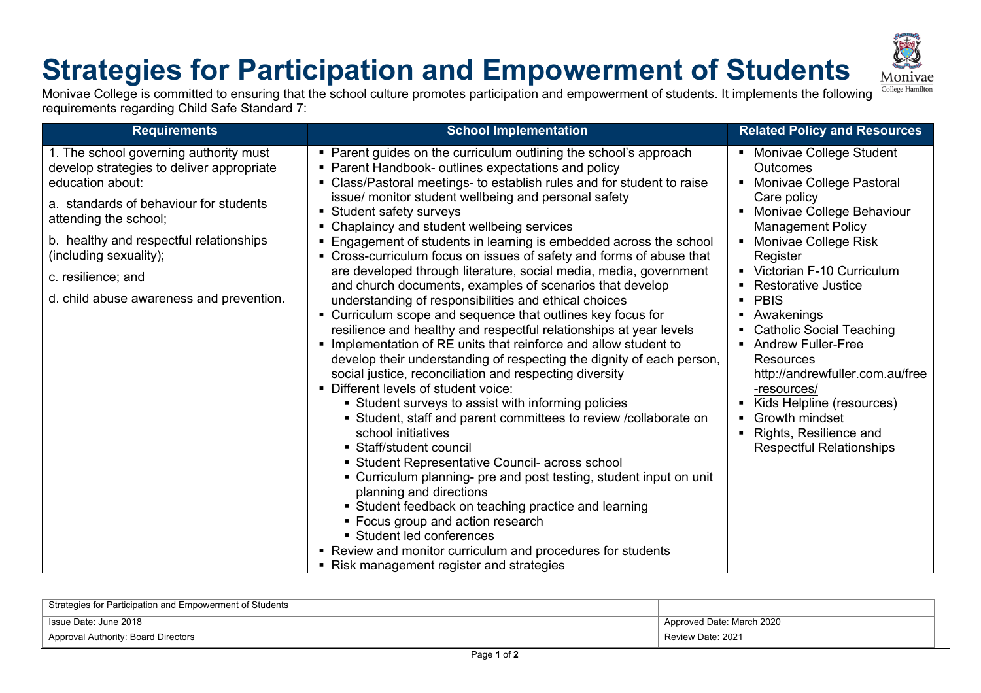## **Strategies for Participation and Empowerment of Students**



Monivae College is committed to ensuring that the school culture promotes participation and empowerment of students. It implements the following requirements regarding Child Safe Standard 7:

| <b>Requirements</b>                                                                                                                               | <b>School Implementation</b>                                                                                                                                                                                                                                                                                                                                                                                                                                                                                                                                                                                                                                                                                                                                                                                                                                                                                                                                                                                                                                                                                                                                                                                                                                                              | <b>Related Policy and Resources</b>                                                                                                                                                                                                                                                                                                                                                             |
|---------------------------------------------------------------------------------------------------------------------------------------------------|-------------------------------------------------------------------------------------------------------------------------------------------------------------------------------------------------------------------------------------------------------------------------------------------------------------------------------------------------------------------------------------------------------------------------------------------------------------------------------------------------------------------------------------------------------------------------------------------------------------------------------------------------------------------------------------------------------------------------------------------------------------------------------------------------------------------------------------------------------------------------------------------------------------------------------------------------------------------------------------------------------------------------------------------------------------------------------------------------------------------------------------------------------------------------------------------------------------------------------------------------------------------------------------------|-------------------------------------------------------------------------------------------------------------------------------------------------------------------------------------------------------------------------------------------------------------------------------------------------------------------------------------------------------------------------------------------------|
| 1. The school governing authority must<br>develop strategies to deliver appropriate<br>education about:<br>a. standards of behaviour for students | • Parent guides on the curriculum outlining the school's approach<br>Parent Handbook- outlines expectations and policy<br>Class/Pastoral meetings- to establish rules and for student to raise<br>$\blacksquare$<br>issue/ monitor student wellbeing and personal safety                                                                                                                                                                                                                                                                                                                                                                                                                                                                                                                                                                                                                                                                                                                                                                                                                                                                                                                                                                                                                  | • Monivae College Student<br><b>Outcomes</b><br>• Monivae College Pastoral<br>Care policy                                                                                                                                                                                                                                                                                                       |
| attending the school;                                                                                                                             | Student safety surveys<br>Chaplaincy and student wellbeing services                                                                                                                                                                                                                                                                                                                                                                                                                                                                                                                                                                                                                                                                                                                                                                                                                                                                                                                                                                                                                                                                                                                                                                                                                       | Monivae College Behaviour<br>$\blacksquare$<br><b>Management Policy</b>                                                                                                                                                                                                                                                                                                                         |
| b. healthy and respectful relationships<br>(including sexuality);                                                                                 | Engagement of students in learning is embedded across the school<br>• Cross-curriculum focus on issues of safety and forms of abuse that<br>are developed through literature, social media, media, government<br>and church documents, examples of scenarios that develop<br>understanding of responsibilities and ethical choices<br>• Curriculum scope and sequence that outlines key focus for<br>resilience and healthy and respectful relationships at year levels<br>Implementation of RE units that reinforce and allow student to<br>develop their understanding of respecting the dignity of each person,<br>social justice, reconciliation and respecting diversity<br>• Different levels of student voice:<br>Student surveys to assist with informing policies<br>• Student, staff and parent committees to review /collaborate on<br>school initiatives<br>• Staff/student council<br>• Student Representative Council- across school<br>• Curriculum planning- pre and post testing, student input on unit<br>planning and directions<br>• Student feedback on teaching practice and learning<br>• Focus group and action research<br>• Student led conferences<br>• Review and monitor curriculum and procedures for students<br>• Risk management register and strategies | • Monivae College Risk<br>Register<br>• Victorian F-10 Curriculum<br>• Restorative Justice<br>• PBIS<br>• Awakenings<br><b>Catholic Social Teaching</b><br>٠<br>• Andrew Fuller-Free<br><b>Resources</b><br>http://andrewfuller.com.au/free<br>-resources/<br>Kids Helpline (resources)<br>٠<br>• Growth mindset<br>Rights, Resilience and<br>$\blacksquare$<br><b>Respectful Relationships</b> |
| c. resilience; and                                                                                                                                |                                                                                                                                                                                                                                                                                                                                                                                                                                                                                                                                                                                                                                                                                                                                                                                                                                                                                                                                                                                                                                                                                                                                                                                                                                                                                           |                                                                                                                                                                                                                                                                                                                                                                                                 |
| d. child abuse awareness and prevention.                                                                                                          |                                                                                                                                                                                                                                                                                                                                                                                                                                                                                                                                                                                                                                                                                                                                                                                                                                                                                                                                                                                                                                                                                                                                                                                                                                                                                           |                                                                                                                                                                                                                                                                                                                                                                                                 |

| Strategies for Participation and Empowerment of Students |                           |
|----------------------------------------------------------|---------------------------|
| Issue Date: June 2018                                    | Approved Date: March 2020 |
| <sup>1</sup> Approval Authority: Board Directors         | Review Date: 2021         |